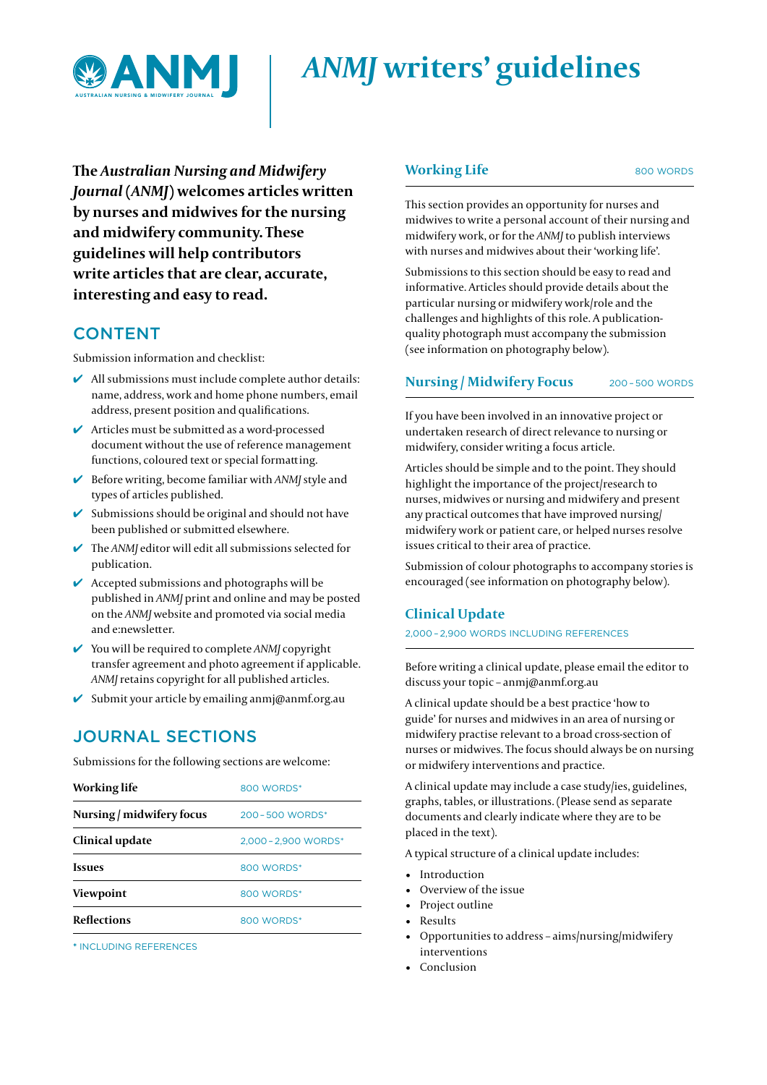# *ANMJ* **writers' guidelines**



**The** *Australian Nursing and Midwifery Journal* **(***ANMJ***) welcomes articles written by nurses and midwives for the nursing and midwifery community. These guidelines will help contributors write articles that are clear, accurate, interesting and easy to read.** 

# **CONTENT**

Submission information and checklist:

- $\vee$  All submissions must include complete author details: name, address, work and home phone numbers, email address, present position and qualifications.
- $\vee$  Articles must be submitted as a word-processed document without the use of reference management functions, coloured text or special formatting.
- ✔ Before writing, become familiar with *ANMJ* style and types of articles published.
- $\triangleright$  Submissions should be original and should not have been published or submitted elsewhere.
- **✓** The *ANMI* editor will edit all submissions selected for publication.
- $\blacktriangleright$  Accepted submissions and photographs will be published in *ANMJ* print and online and may be posted on the *ANMJ* website and promoted via social media and e:newsletter.
- ✔ You will be required to complete *ANMJ* copyright transfer agreement and photo agreement if applicable. *ANMJ* retains copyright for all published articles.
- $\vee$  Submit your article by emailing [anmj@anmf.org.au](mailto:anmj@anmf.org.au)

# JOURNAL SECTIONS

Submissions for the following sections are welcome:

| Working life              | 800 WORDS*           |
|---------------------------|----------------------|
| Nursing / midwifery focus | 200 - 500 WORDS*     |
| Clinical update           | 2.000 - 2.900 WORDS* |
| Issues                    | 800 WORDS*           |
| Viewpoint                 | 800 WORDS*           |
| <b>Reflections</b>        | 800 WORDS*           |

**\*** INCLUDING REFERENCES

#### **Working Life** 800 WORDS

This section provides an opportunity for nurses and midwives to write a personal account of their nursing and midwifery work, or for the *ANMJ* to publish interviews with nurses and midwives about their 'working life'.

Submissions to this section should be easy to read and informative. Articles should provide details about the particular nursing or midwifery work/role and the challenges and highlights of this role. A publicationquality photograph must accompany the submission (see information on photography below).

#### **Nursing / Midwifery Focus** 200-500 WORDS

If you have been involved in an innovative project or undertaken research of direct relevance to nursing or midwifery, consider writing a focus article.

Articles should be simple and to the point. They should highlight the importance of the project/research to nurses, midwives or nursing and midwifery and present any practical outcomes that have improved nursing/ midwifery work or patient care, or helped nurses resolve issues critical to their area of practice.

Submission of colour photographs to accompany stories is encouraged (see information on photography below).

#### **Clinical Update**

2,000 – 2,900 WORDS INCLUDING REFERENCES

Before writing a clinical update, please email the editor to discuss your topic – anmj@anmf.org.au

A clinical update should be a best practice 'how to guide' for nurses and midwives in an area of nursing or midwifery practise relevant to a broad cross-section of nurses or midwives. The focus should always be on nursing or midwifery interventions and practice.

A clinical update may include a case study/ies, guidelines, graphs, tables, or illustrations. (Please send as separate documents and clearly indicate where they are to be placed in the text).

A typical structure of a clinical update includes:

- Introduction
- Overview of the issue
- Project outline
- Results
- Opportunities to address aims/nursing/midwifery interventions
- Conclusion